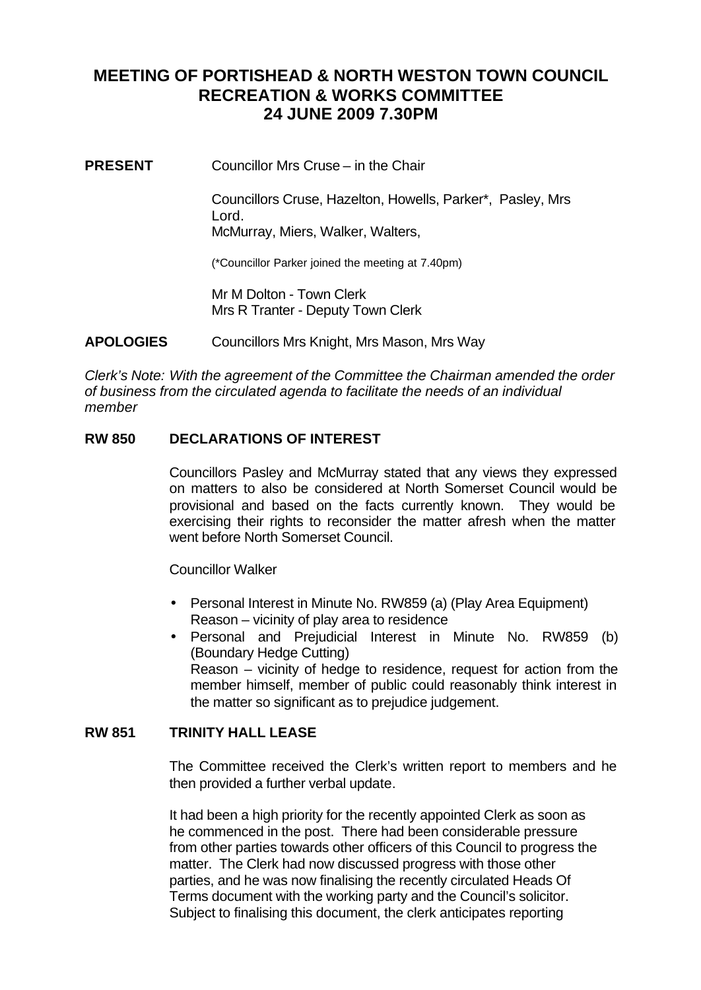# **MEETING OF PORTISHEAD & NORTH WESTON TOWN COUNCIL RECREATION & WORKS COMMITTEE 24 JUNE 2009 7.30PM**

**PRESENT** Councillor Mrs Cruse – in the Chair

Councillors Cruse, Hazelton, Howells, Parker\*, Pasley, Mrs Lord. McMurray, Miers, Walker, Walters,

(\*Councillor Parker joined the meeting at 7.40pm)

Mr M Dolton - Town Clerk Mrs R Tranter - Deputy Town Clerk

**APOLOGIES** Councillors Mrs Knight, Mrs Mason, Mrs Way

*Clerk's Note: With the agreement of the Committee the Chairman amended the order of business from the circulated agenda to facilitate the needs of an individual member*

### **RW 850 DECLARATIONS OF INTEREST**

Councillors Pasley and McMurray stated that any views they expressed on matters to also be considered at North Somerset Council would be provisional and based on the facts currently known. They would be exercising their rights to reconsider the matter afresh when the matter went before North Somerset Council.

Councillor Walker

- Personal Interest in Minute No. RW859 (a) (Play Area Equipment) Reason – vicinity of play area to residence
- Personal and Prejudicial Interest in Minute No. RW859 (b) (Boundary Hedge Cutting) Reason – vicinity of hedge to residence, request for action from the member himself, member of public could reasonably think interest in the matter so significant as to prejudice judgement.

### **RW 851 TRINITY HALL LEASE**

The Committee received the Clerk's written report to members and he then provided a further verbal update.

It had been a high priority for the recently appointed Clerk as soon as he commenced in the post. There had been considerable pressure from other parties towards other officers of this Council to progress the matter. The Clerk had now discussed progress with those other parties, and he was now finalising the recently circulated Heads Of Terms document with the working party and the Council's solicitor. Subject to finalising this document, the clerk anticipates reporting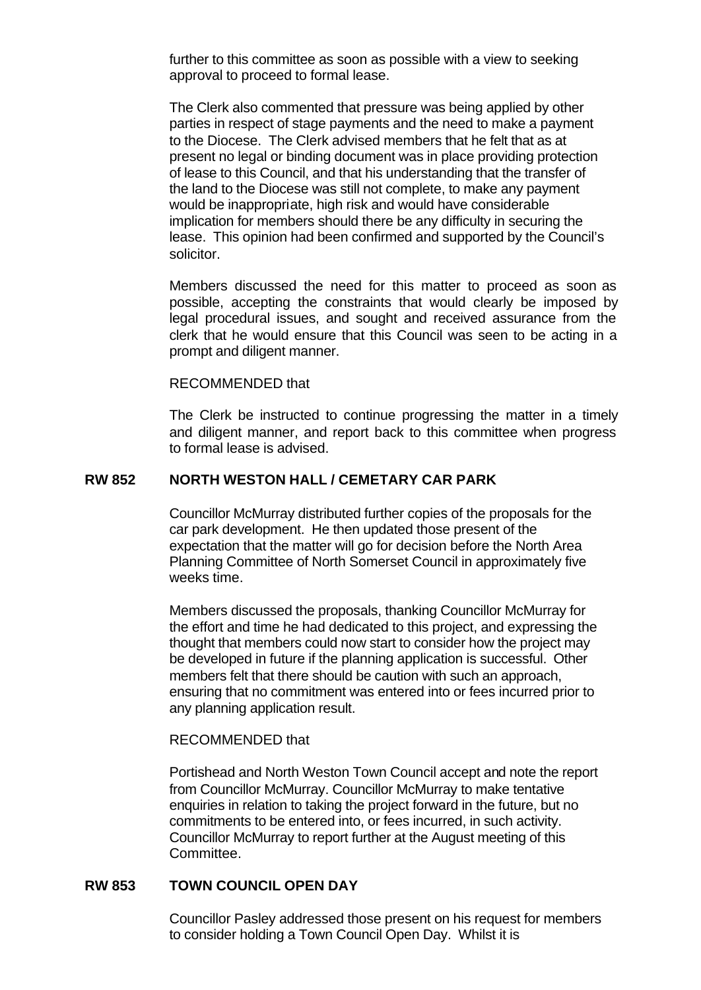further to this committee as soon as possible with a view to seeking approval to proceed to formal lease.

The Clerk also commented that pressure was being applied by other parties in respect of stage payments and the need to make a payment to the Diocese. The Clerk advised members that he felt that as at present no legal or binding document was in place providing protection of lease to this Council, and that his understanding that the transfer of the land to the Diocese was still not complete, to make any payment would be inappropriate, high risk and would have considerable implication for members should there be any difficulty in securing the lease. This opinion had been confirmed and supported by the Council's solicitor.

Members discussed the need for this matter to proceed as soon as possible, accepting the constraints that would clearly be imposed by legal procedural issues, and sought and received assurance from the clerk that he would ensure that this Council was seen to be acting in a prompt and diligent manner.

#### RECOMMENDED that

The Clerk be instructed to continue progressing the matter in a timely and diligent manner, and report back to this committee when progress to formal lease is advised.

### **RW 852 NORTH WESTON HALL / CEMETARY CAR PARK**

Councillor McMurray distributed further copies of the proposals for the car park development. He then updated those present of the expectation that the matter will go for decision before the North Area Planning Committee of North Somerset Council in approximately five weeks time.

Members discussed the proposals, thanking Councillor McMurray for the effort and time he had dedicated to this project, and expressing the thought that members could now start to consider how the project may be developed in future if the planning application is successful. Other members felt that there should be caution with such an approach, ensuring that no commitment was entered into or fees incurred prior to any planning application result.

### RECOMMENDED that

Portishead and North Weston Town Council accept and note the report from Councillor McMurray. Councillor McMurray to make tentative enquiries in relation to taking the project forward in the future, but no commitments to be entered into, or fees incurred, in such activity. Councillor McMurray to report further at the August meeting of this Committee.

### **RW 853 TOWN COUNCIL OPEN DAY**

Councillor Pasley addressed those present on his request for members to consider holding a Town Council Open Day. Whilst it is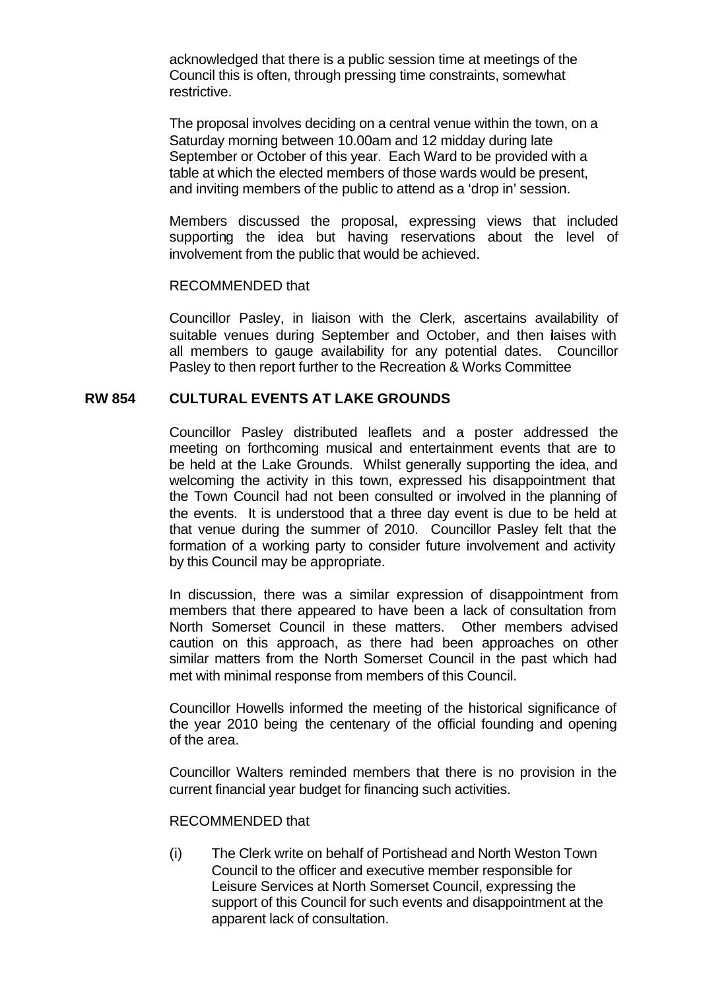acknowledged that there is a public session time at meetings of the Council this is often, through pressing time constraints, somewhat restrictive.

The proposal involves deciding on a central venue within the town, on a Saturday morning between 10.00am and 12 midday during late September or October of this year. Each Ward to be provided with a table at which the elected members of those wards would be present, and inviting members of the public to attend as a 'drop in' session.

Members discussed the proposal, expressing views that included supporting the idea but having reservations about the level of involvement from the public that would be achieved.

### RECOMMENDED that

Councillor Pasley, in liaison with the Clerk, ascertains availability of suitable venues during September and October, and then laises with all members to gauge availability for any potential dates. Councillor Pasley to then report further to the Recreation & Works Committee

### **RW 854 CULTURAL EVENTS AT LAKE GROUNDS**

Councillor Pasley distributed leaflets and a poster addressed the meeting on forthcoming musical and entertainment events that are to be held at the Lake Grounds. Whilst generally supporting the idea, and welcoming the activity in this town, expressed his disappointment that the Town Council had not been consulted or involved in the planning of the events. It is understood that a three day event is due to be held at that venue during the summer of 2010. Councillor Pasley felt that the formation of a working party to consider future involvement and activity by this Council may be appropriate.

In discussion, there was a similar expression of disappointment from members that there appeared to have been a lack of consultation from North Somerset Council in these matters. Other members advised caution on this approach, as there had been approaches on other similar matters from the North Somerset Council in the past which had met with minimal response from members of this Council.

Councillor Howells informed the meeting of the historical significance of the year 2010 being the centenary of the official founding and opening of the area.

Councillor Walters reminded members that there is no provision in the current financial year budget for financing such activities.

#### RECOMMENDED that

(i) The Clerk write on behalf of Portishead and North Weston Town Council to the officer and executive member responsible for Leisure Services at North Somerset Council, expressing the support of this Council for such events and disappointment at the apparent lack of consultation.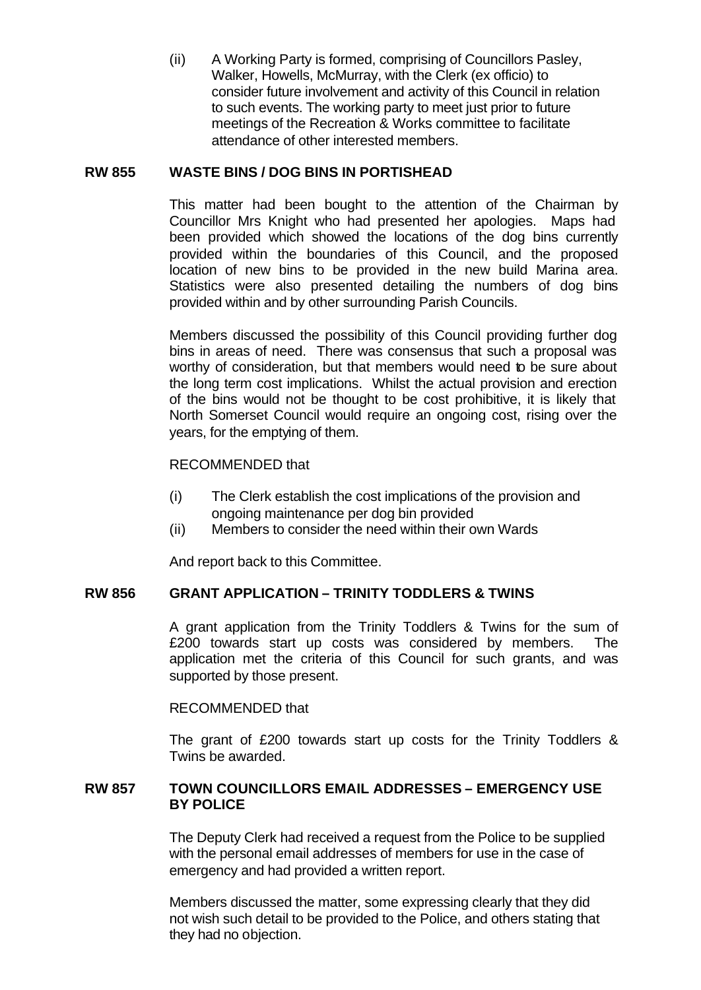(ii) A Working Party is formed, comprising of Councillors Pasley, Walker, Howells, McMurray, with the Clerk (ex officio) to consider future involvement and activity of this Council in relation to such events. The working party to meet just prior to future meetings of the Recreation & Works committee to facilitate attendance of other interested members.

### **RW 855 WASTE BINS / DOG BINS IN PORTISHEAD**

This matter had been bought to the attention of the Chairman by Councillor Mrs Knight who had presented her apologies. Maps had been provided which showed the locations of the dog bins currently provided within the boundaries of this Council, and the proposed location of new bins to be provided in the new build Marina area. Statistics were also presented detailing the numbers of dog bins provided within and by other surrounding Parish Councils.

Members discussed the possibility of this Council providing further dog bins in areas of need. There was consensus that such a proposal was worthy of consideration, but that members would need to be sure about the long term cost implications. Whilst the actual provision and erection of the bins would not be thought to be cost prohibitive, it is likely that North Somerset Council would require an ongoing cost, rising over the years, for the emptying of them.

### RECOMMENDED that

- (i) The Clerk establish the cost implications of the provision and ongoing maintenance per dog bin provided
- (ii) Members to consider the need within their own Wards

And report back to this Committee.

### **RW 856 GRANT APPLICATION – TRINITY TODDLERS & TWINS**

A grant application from the Trinity Toddlers & Twins for the sum of £200 towards start up costs was considered by members. The application met the criteria of this Council for such grants, and was supported by those present.

### RECOMMENDED that

The grant of £200 towards start up costs for the Trinity Toddlers & Twins be awarded.

### **RW 857 TOWN COUNCILLORS EMAIL ADDRESSES – EMERGENCY USE BY POLICE**

The Deputy Clerk had received a request from the Police to be supplied with the personal email addresses of members for use in the case of emergency and had provided a written report.

Members discussed the matter, some expressing clearly that they did not wish such detail to be provided to the Police, and others stating that they had no objection.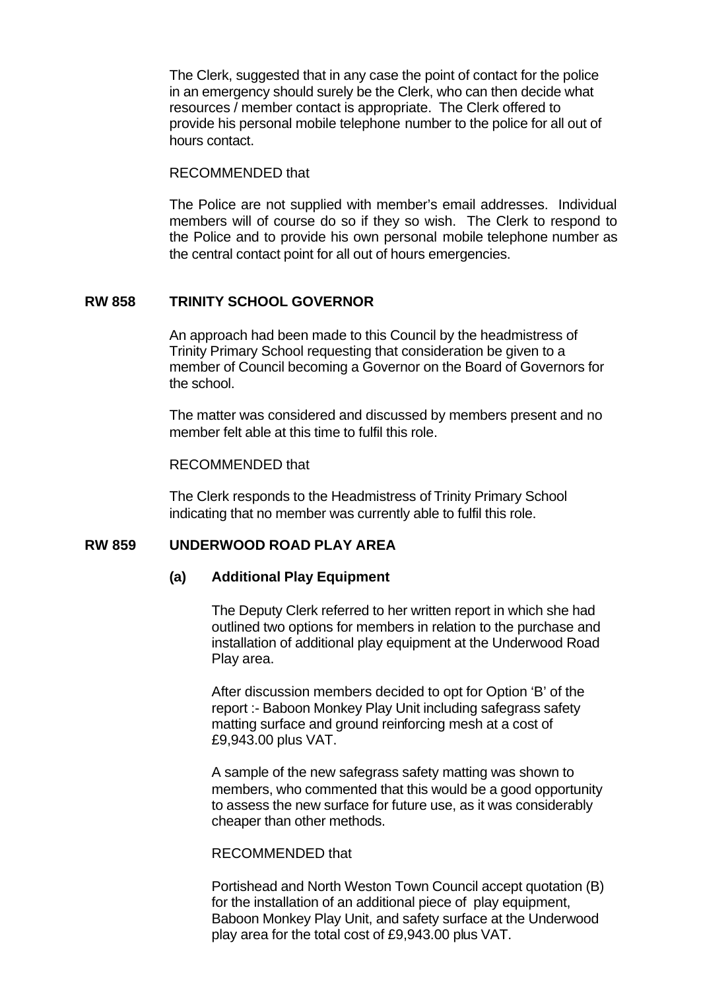The Clerk, suggested that in any case the point of contact for the police in an emergency should surely be the Clerk, who can then decide what resources / member contact is appropriate. The Clerk offered to provide his personal mobile telephone number to the police for all out of hours contact.

#### RECOMMENDED that

The Police are not supplied with member's email addresses. Individual members will of course do so if they so wish. The Clerk to respond to the Police and to provide his own personal mobile telephone number as the central contact point for all out of hours emergencies.

### **RW 858 TRINITY SCHOOL GOVERNOR**

An approach had been made to this Council by the headmistress of Trinity Primary School requesting that consideration be given to a member of Council becoming a Governor on the Board of Governors for the school.

The matter was considered and discussed by members present and no member felt able at this time to fulfil this role.

#### RECOMMENDED that

The Clerk responds to the Headmistress of Trinity Primary School indicating that no member was currently able to fulfil this role.

### **RW 859 UNDERWOOD ROAD PLAY AREA**

### **(a) Additional Play Equipment**

The Deputy Clerk referred to her written report in which she had outlined two options for members in relation to the purchase and installation of additional play equipment at the Underwood Road Play area.

After discussion members decided to opt for Option 'B' of the report :- Baboon Monkey Play Unit including safegrass safety matting surface and ground reinforcing mesh at a cost of £9,943.00 plus VAT.

A sample of the new safegrass safety matting was shown to members, who commented that this would be a good opportunity to assess the new surface for future use, as it was considerably cheaper than other methods.

### RECOMMENDED that

Portishead and North Weston Town Council accept quotation (B) for the installation of an additional piece of play equipment, Baboon Monkey Play Unit, and safety surface at the Underwood play area for the total cost of £9,943.00 plus VAT.